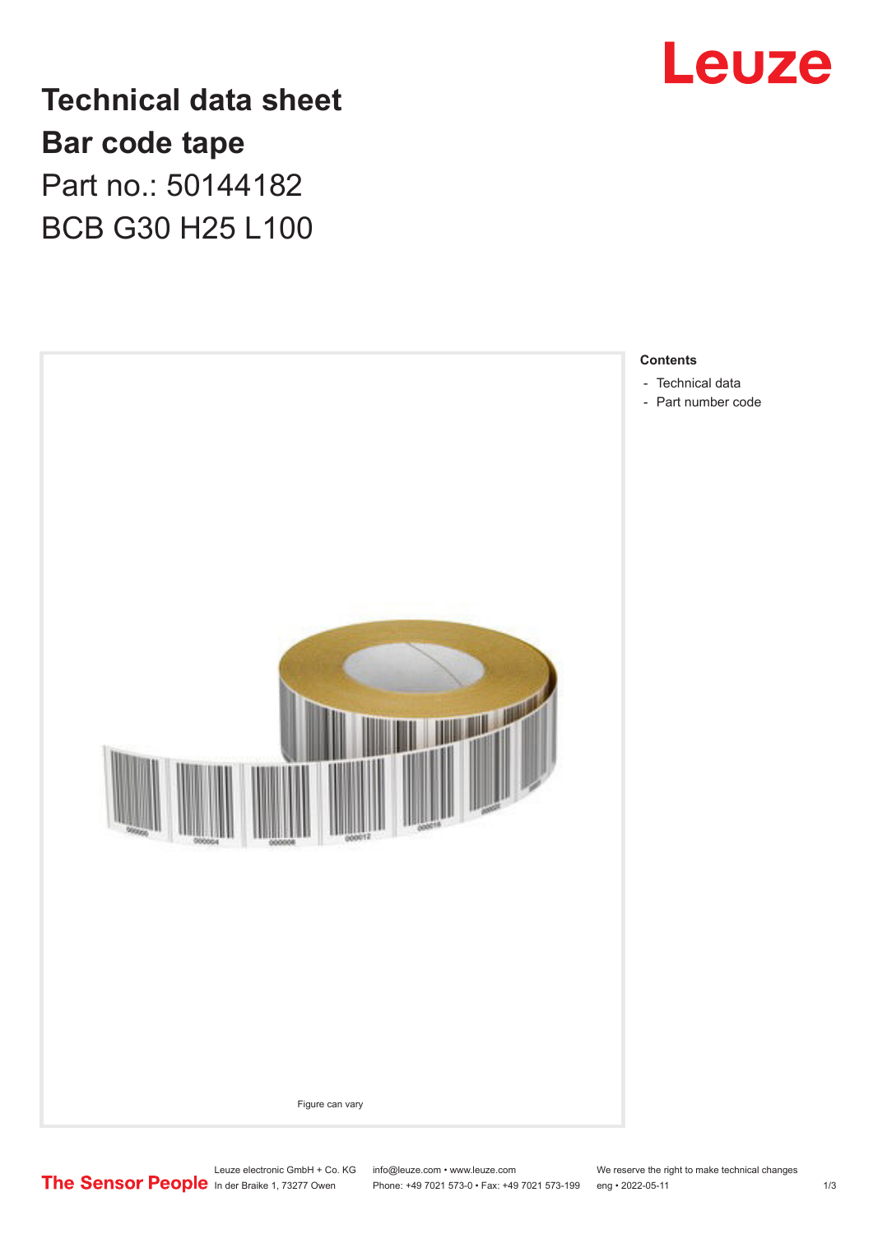

**Technical data sheet Bar code tape** Part no.: 50144182 BCB G30 H25 L100



Leuze electronic GmbH + Co. KG info@leuze.com • www.leuze.com We reserve the right to make technical changes<br>
The Sensor People in der Braike 1, 73277 Owen Phone: +49 7021 573-0 • Fax: +49 7021 573-199 eng • 2022-05-11 Phone: +49 7021 573-0 • Fax: +49 7021 573-199 eng • 2022-05-11 1 2022-05-11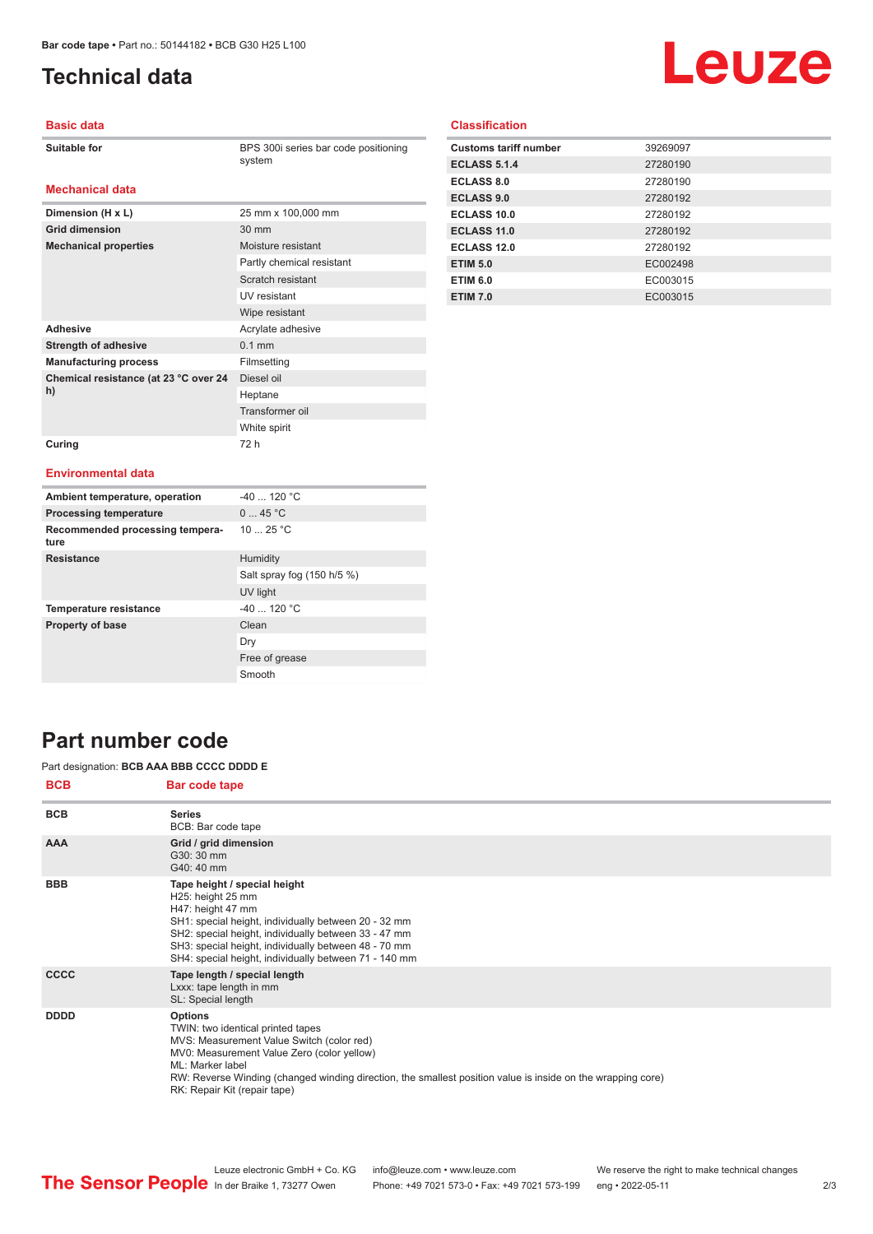**Dimension (H x L)** 25 mm x 100,000 mm

**Mechanical properties** Moisture resistant

Adhesive **Adhesive** Acrylate adhesive **Strength of adhesive** 0.1 mm **Manufacturing process** Filmsetting

**Grid dimension** 30 mm

**Chemical resistance (at 23 °C over 24** 

**Curing** 72 h

# <span id="page-1-0"></span>**Technical data**

# Leuze

## **Basic data**

**Mechanical data**

BPS 300i series bar code positioning system

Partly chemical resistant Scratch resistant UV resistant Wipe resistant

Diesel oil Heptane Transformer oil White spirit

## **Classification**

| <b>Customs tariff number</b> | 39269097 |
|------------------------------|----------|
| <b>ECLASS 5.1.4</b>          | 27280190 |
| <b>ECLASS 8.0</b>            | 27280190 |
| <b>ECLASS 9.0</b>            | 27280192 |
| ECLASS 10.0                  | 27280192 |
| ECLASS 11.0                  | 27280192 |
| ECLASS 12.0                  | 27280192 |
| <b>ETIM 5.0</b>              | EC002498 |
| <b>ETIM 6.0</b>              | EC003015 |
| <b>ETIM 7.0</b>              | EC003015 |

#### **Environmental data**

**h)**

| Ambient temperature, operation          | $-40$ 120 °C               |
|-----------------------------------------|----------------------------|
| <b>Processing temperature</b>           | 045 °C                     |
| Recommended processing tempera-<br>ture | 10 $25 °C$                 |
| <b>Resistance</b>                       | Humidity                   |
|                                         | Salt spray fog (150 h/5 %) |
|                                         | UV light                   |
| <b>Temperature resistance</b>           | $-40$ 120 °C               |
| <b>Property of base</b>                 | Clean                      |
|                                         | Dry                        |
|                                         | Free of grease             |
|                                         | Smooth                     |

## **Part number code**

### Part designation: **BCB AAA BBB CCCC DDDD E**

| <b>BCB</b>  | <b>Bar code tape</b>                                                                                                                                                                                                                                                                                              |
|-------------|-------------------------------------------------------------------------------------------------------------------------------------------------------------------------------------------------------------------------------------------------------------------------------------------------------------------|
| <b>BCB</b>  | <b>Series</b><br>BCB: Bar code tape                                                                                                                                                                                                                                                                               |
| <b>AAA</b>  | Grid / grid dimension<br>G30: 30 mm<br>G40: 40 mm                                                                                                                                                                                                                                                                 |
| <b>BBB</b>  | Tape height / special height<br>H25: height 25 mm<br>H47: height 47 mm<br>SH1: special height, individually between 20 - 32 mm<br>SH2: special height, individually between 33 - 47 mm<br>SH3: special height, individually between 48 - 70 mm<br>SH4: special height, individually between 71 - 140 mm           |
| <b>CCCC</b> | Tape length / special length<br>Lxxx: tape length in mm<br>SL: Special length                                                                                                                                                                                                                                     |
| <b>DDDD</b> | <b>Options</b><br>TWIN: two identical printed tapes<br>MVS: Measurement Value Switch (color red)<br>MV0: Measurement Value Zero (color yellow)<br>ML: Marker label<br>RW: Reverse Winding (changed winding direction, the smallest position value is inside on the wrapping core)<br>RK: Repair Kit (repair tape) |